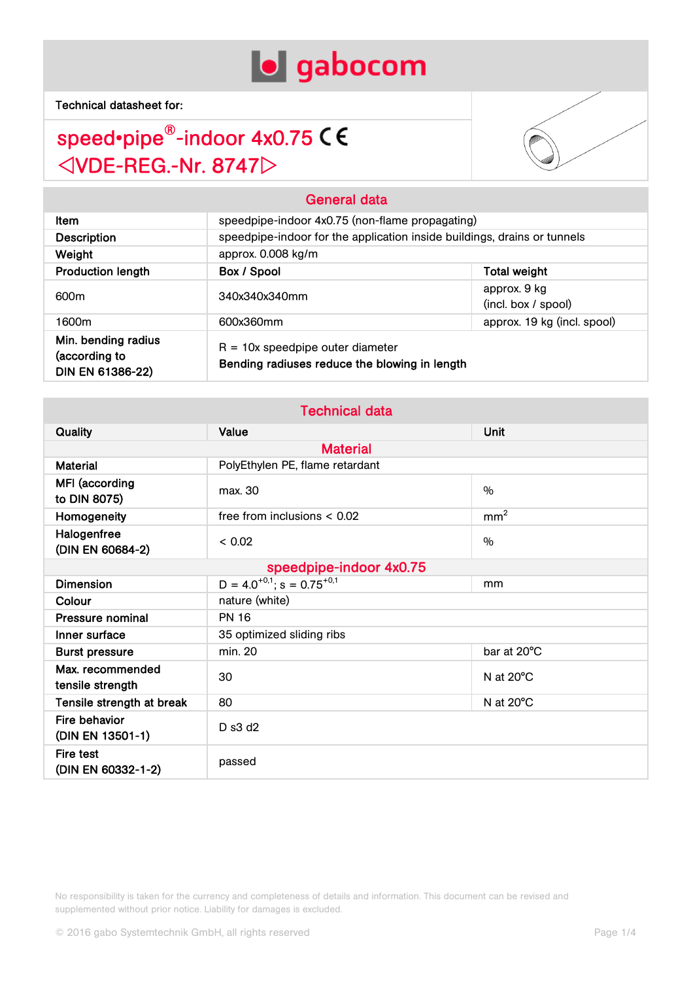



| ltem                                                            | speedpipe-indoor 4x0.75 (non-flame propagating)                                     |                                                                          |  |  |
|-----------------------------------------------------------------|-------------------------------------------------------------------------------------|--------------------------------------------------------------------------|--|--|
| <b>Description</b>                                              |                                                                                     | speedpipe-indoor for the application inside buildings, drains or tunnels |  |  |
| Weight                                                          | approx. 0.008 kg/m                                                                  |                                                                          |  |  |
| <b>Production length</b>                                        | Box / Spool                                                                         | <b>Total weight</b>                                                      |  |  |
| 600m                                                            | 340x340x340mm                                                                       | approx. 9 kg<br>(incl. box / spool)                                      |  |  |
| 1600m                                                           | 600x360mm                                                                           | approx. 19 kg (incl. spool)                                              |  |  |
| Min. bending radius<br>(according to<br><b>DIN EN 61386-22)</b> | $R = 10x$ speedpipe outer diameter<br>Bending radiuses reduce the blowing in length |                                                                          |  |  |

General data

| <b>Technical data</b> |  |  |
|-----------------------|--|--|
|                       |  |  |
|                       |  |  |

| <b>Quality</b>                       | Value                                       | Unit                |  |
|--------------------------------------|---------------------------------------------|---------------------|--|
|                                      | <b>Material</b>                             |                     |  |
| <b>Material</b>                      | PolyEthylen PE, flame retardant             |                     |  |
| MFI (according<br>to DIN 8075)       | max. 30                                     | $\frac{0}{0}$       |  |
| Homogeneity                          | free from inclusions $< 0.02$               | mm <sup>2</sup>     |  |
| Halogenfree<br>(DIN EN 60684-2)      | < 0.02                                      | $\frac{0}{0}$       |  |
| speedpipe-indoor 4x0.75              |                                             |                     |  |
| <b>Dimension</b>                     | $D = 4.0^{+0.1}$ ; s = 0.75 <sup>+0,1</sup> | mm                  |  |
| Colour                               | nature (white)                              |                     |  |
| <b>Pressure nominal</b>              | <b>PN 16</b>                                |                     |  |
| Inner surface                        | 35 optimized sliding ribs                   |                     |  |
| <b>Burst pressure</b>                | min. 20                                     | bar at 20°C         |  |
| Max. recommended<br>tensile strength | 30                                          | N at $20^{\circ}$ C |  |
| Tensile strength at break            | 80                                          | N at $20^{\circ}$ C |  |
| Fire behavior<br>(DIN EN 13501-1)    | D s3 d2                                     |                     |  |
| Fire test<br>(DIN EN 60332-1-2)      | passed                                      |                     |  |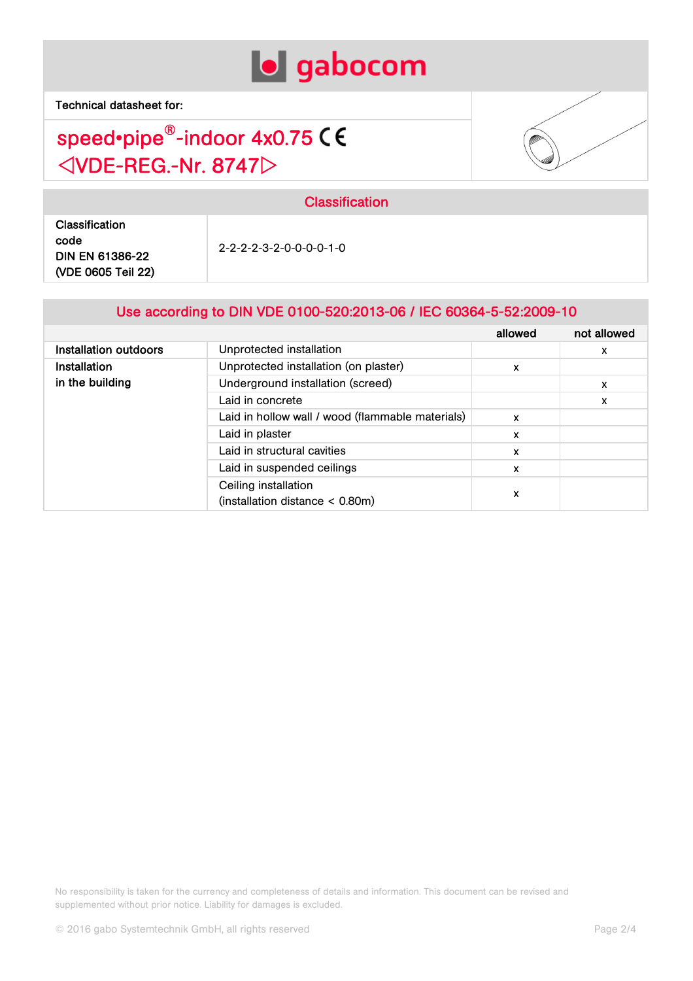



| <b>Classification</b><br>code<br>2-2-2-2-3-2-0-0-0-0-1-0<br><b>DIN EN 61386-22</b><br>(VDE 0605 Teil 22) | --------------- |  |  |
|----------------------------------------------------------------------------------------------------------|-----------------|--|--|
|                                                                                                          |                 |  |  |

Classification

#### Use according to DIN VDE 0100-520:2013-06 / IEC 60364-5-52:2009-10

|                       |                                                  | allowed | not allowed |
|-----------------------|--------------------------------------------------|---------|-------------|
| Installation outdoors | Unprotected installation                         |         | x           |
| <b>Installation</b>   | Unprotected installation (on plaster)            | x       |             |
| in the building       | Underground installation (screed)                |         | x           |
|                       | Laid in concrete                                 |         | x           |
|                       | Laid in hollow wall / wood (flammable materials) | x       |             |
|                       | Laid in plaster                                  | x       |             |
|                       | Laid in structural cavities                      | x       |             |
|                       | Laid in suspended ceilings                       | X       |             |
|                       | Ceiling installation                             |         |             |
|                       | (installation distance $<$ 0.80m)                | x       |             |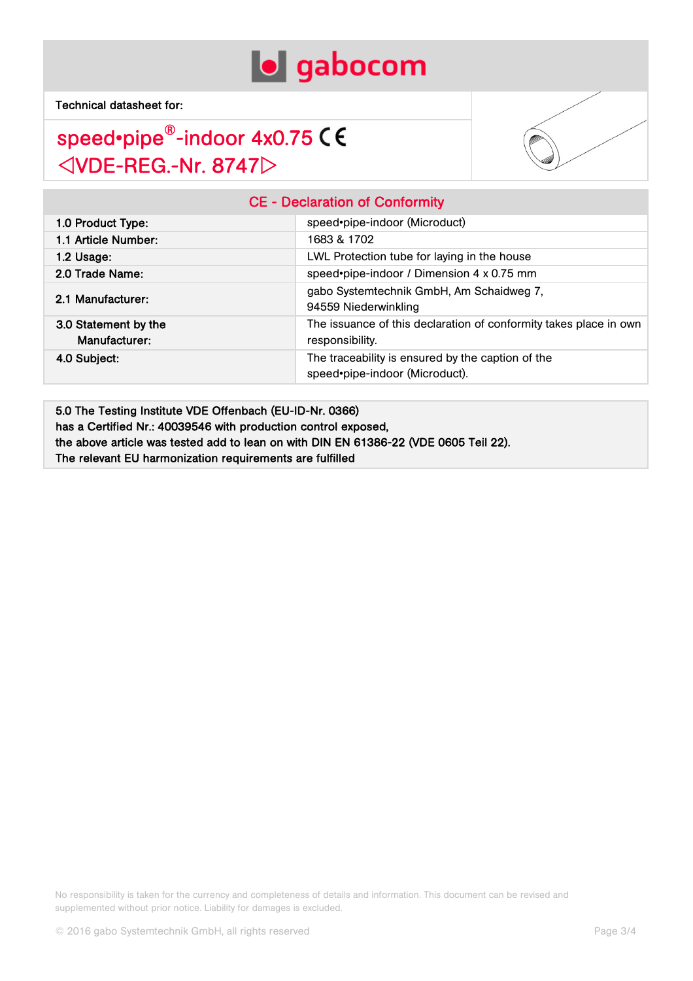



### CE - Declaration of Conformity

| 1.0 Product Type:                     | speed•pipe-indoor (Microduct)                                                        |
|---------------------------------------|--------------------------------------------------------------------------------------|
| 1.1 Article Number:                   | 1683 & 1702                                                                          |
| $1.2$ Usage:                          | LWL Protection tube for laying in the house                                          |
| 2.0 Trade Name:                       | speed•pipe-indoor / Dimension 4 x 0.75 mm                                            |
| 2.1 Manufacturer:                     | gabo Systemtechnik GmbH, Am Schaidweg 7,<br>94559 Niederwinkling                     |
| 3.0 Statement by the<br>Manufacturer: | The issuance of this declaration of conformity takes place in own<br>responsibility. |
| 4.0 Subject:                          | The traceability is ensured by the caption of the<br>speed•pipe-indoor (Microduct).  |

5.0 The Testing Institute VDE Offenbach (EU-ID-Nr. 0366) has a Certified Nr.: 40039546 with production control exposed, the above article was tested add to lean on with DIN EN 61386-22 (VDE 0605 Teil 22). The relevant EU harmonization requirements are fulfilled